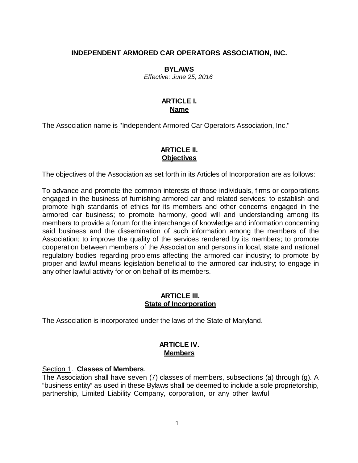#### **INDEPENDENT ARMORED CAR OPERATORS ASSOCIATION, INC.**

#### **BYLAWS**

*Effective: June 25, 2016*

## **ARTICLE I. Name**

The Association name is "Independent Armored Car Operators Association, Inc."

#### **ARTICLE II. Objectives**

The objectives of the Association as set forth in its Articles of Incorporation are as follows:

To advance and promote the common interests of those individuals, firms or corporations engaged in the business of furnishing armored car and related services; to establish and promote high standards of ethics for its members and other concerns engaged in the armored car business; to promote harmony, good will and understanding among its members to provide a forum for the interchange of knowledge and information concerning said business and the dissemination of such information among the members of the Association; to improve the quality of the services rendered by its members; to promote cooperation between members of the Association and persons in local, state and national regulatory bodies regarding problems affecting the armored car industry; to promote by proper and lawful means legislation beneficial to the armored car industry; to engage in any other lawful activity for or on behalf of its members.

#### **ARTICLE III. State of Incorporation**

The Association is incorporated under the laws of the State of Maryland.

#### **ARTICLE IV. Members**

#### Section 1. **Classes of Members**.

The Association shall have seven (7) classes of members, subsections (a) through (g). A "business entity" as used in these Bylaws shall be deemed to include a sole proprietorship, partnership, Limited Liability Company, corporation, or any other lawful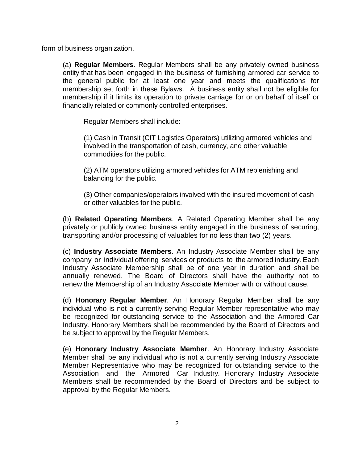form of business organization.

(a) **Regular Members**. Regular Members shall be any privately owned business entity that has been engaged in the business of furnishing armored car service to the general public for at least one year and meets the qualifications for membership set forth in these Bylaws. A business entity shall not be eligible for membership if it limits its operation to private carriage for or on behalf of itself or financially related or commonly controlled enterprises.

Regular Members shall include:

(1) Cash in Transit (CIT Logistics Operators) utilizing armored vehicles and involved in the transportation of cash, currency, and other valuable commodities for the public.

(2) ATM operators utilizing armored vehicles for ATM replenishing and balancing for the public.

(3) Other companies/operators involved with the insured movement of cash or other valuables for the public.

(b) **Related Operating Members**. A Related Operating Member shall be any privately or publicly owned business entity engaged in the business of securing, transporting and/or processing of valuables for no less than two (2) years.

(c) **Industry Associate Members**. An Industry Associate Member shall be any company or individual offering services or products to the armored industry. Each Industry Associate Membership shall be of one year in duration and shall be annually renewed. The Board of Directors shall have the authority not to renew the Membership of an Industry Associate Member with or without cause.

(d) **Honorary Regular Member**. An Honorary Regular Member shall be any individual who is not a currently serving Regular Member representative who may be recognized for outstanding service to the Association and the Armored Car Industry. Honorary Members shall be recommended by the Board of Directors and be subject to approval by the Regular Members.

(e) **Honorary Industry Associate Member**. An Honorary Industry Associate Member shall be any individual who is not a currently serving Industry Associate Member Representative who may be recognized for outstanding service to the Association and the Armored Car Industry. Honorary Industry Associate Members shall be recommended by the Board of Directors and be subject to approval by the Regular Members.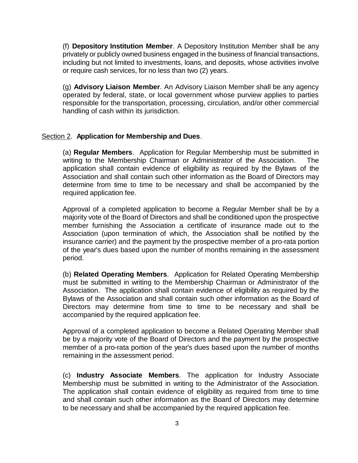(f) **Depository Institution Member**. A Depository Institution Member shall be any privately or publicly owned business engaged in the business of financial transactions, including but not limited to investments, loans, and deposits, whose activities involve or require cash services, for no less than two (2) years.

(g) **Advisory Liaison Member**. An Advisory Liaison Member shall be any agency operated by federal, state, or local government whose purview applies to parties responsible for the transportation, processing, circulation, and/or other commercial handling of cash within its jurisdiction.

#### Section 2. **Application for Membership and Dues**.

(a) **Regular Members**. Application for Regular Membership must be submitted in writing to the Membership Chairman or Administrator of the Association. The application shall contain evidence of eligibility as required by the Bylaws of the Association and shall contain such other information as the Board of Directors may determine from time to time to be necessary and shall be accompanied by the required application fee.

Approval of a completed application to become a Regular Member shall be by a majority vote of the Board of Directors and shall be conditioned upon the prospective member furnishing the Association a certificate of insurance made out to the Association (upon termination of which, the Association shall be notified by the insurance carrier) and the payment by the prospective member of a pro-rata portion of the year's dues based upon the number of months remaining in the assessment period.

(b) **Related Operating Members**. Application for Related Operating Membership must be submitted in writing to the Membership Chairman or Administrator of the Association. The application shall contain evidence of eligibility as required by the Bylaws of the Association and shall contain such other information as the Board of Directors may determine from time to time to be necessary and shall be accompanied by the required application fee.

Approval of a completed application to become a Related Operating Member shall be by a majority vote of the Board of Directors and the payment by the prospective member of a pro-rata portion of the year's dues based upon the number of months remaining in the assessment period.

(c) **Industry Associate Members**. The application for Industry Associate Membership must be submitted in writing to the Administrator of the Association. The application shall contain evidence of eligibility as required from time to time and shall contain such other information as the Board of Directors may determine to be necessary and shall be accompanied by the required application fee.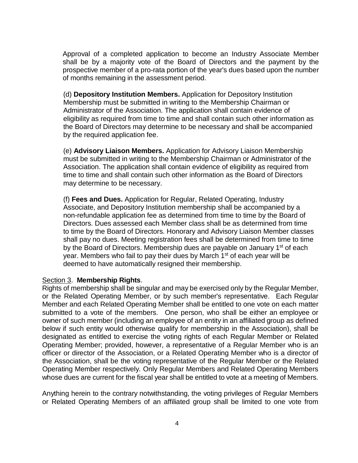Approval of a completed application to become an Industry Associate Member shall be by a majority vote of the Board of Directors and the payment by the prospective member of a pro-rata portion of the year's dues based upon the number of months remaining in the assessment period.

(d) **Depository Institution Members.** Application for Depository Institution Membership must be submitted in writing to the Membership Chairman or Administrator of the Association. The application shall contain evidence of eligibility as required from time to time and shall contain such other information as the Board of Directors may determine to be necessary and shall be accompanied by the required application fee.

(e) **Advisory Liaison Members.** Application for Advisory Liaison Membership must be submitted in writing to the Membership Chairman or Administrator of the Association. The application shall contain evidence of eligibility as required from time to time and shall contain such other information as the Board of Directors may determine to be necessary.

(f) **Fees and Dues.** Application for Regular, Related Operating, Industry Associate, and Depository Institution membership shall be accompanied by a non-refundable application fee as determined from time to time by the Board of Directors. Dues assessed each Member class shall be as determined from time to time by the Board of Directors. Honorary and Advisory Liaison Member classes shall pay no dues. Meeting registration fees shall be determined from time to time by the Board of Directors. Membership dues are payable on January 1<sup>st</sup> of each year. Members who fail to pay their dues by March 1<sup>st</sup> of each year will be deemed to have automatically resigned their membership.

## Section 3. **Membership Rights**.

Rights of membership shall be singular and may be exercised only by the Regular Member, or the Related Operating Member, or by such member's representative. Each Regular Member and each Related Operating Member shall be entitled to one vote on each matter submitted to a vote of the members. One person, who shall be either an employee or owner of such member (including an employee of an entity in an affiliated group as defined below if such entity would otherwise qualify for membership in the Association), shall be designated as entitled to exercise the voting rights of each Regular Member or Related Operating Member; provided, however, a representative of a Regular Member who is an officer or director of the Association, or a Related Operating Member who is a director of the Association, shall be the voting representative of the Regular Member or the Related Operating Member respectively. Only Regular Members and Related Operating Members whose dues are current for the fiscal year shall be entitled to vote at a meeting of Members.

Anything herein to the contrary notwithstanding, the voting privileges of Regular Members or Related Operating Members of an affiliated group shall be limited to one vote from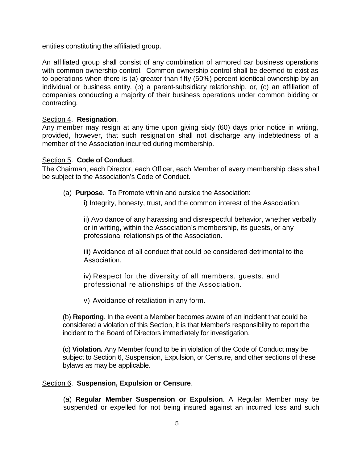entities constituting the affiliated group.

An affiliated group shall consist of any combination of armored car business operations with common ownership control. Common ownership control shall be deemed to exist as to operations when there is (a) greater than fifty (50%) percent identical ownership by an individual or business entity, (b) a parent-subsidiary relationship, or, (c) an affiliation of companies conducting a majority of their business operations under common bidding or contracting.

## Section 4. **Resignation**.

Any member may resign at any time upon giving sixty (60) days prior notice in writing, provided, however, that such resignation shall not discharge any indebtedness of a member of the Association incurred during membership.

#### Section 5. **Code of Conduct**.

The Chairman, each Director, each Officer, each Member of every membership class shall be subject to the Association's Code of Conduct.

(a) **Purpose**. To Promote within and outside the Association:

i) Integrity, honesty, trust, and the common interest of the Association.

ii) Avoidance of any harassing and disrespectful behavior, whether verbally or in writing, within the Association's membership, its guests, or any professional relationships of the Association.

iii) Avoidance of all conduct that could be considered detrimental to the Association.

iv) Respect for the diversity of all members, guests, and professional relationships of the Association.

v) Avoidance of retaliation in any form.

(b) **Reporting**. In the event a Member becomes aware of an incident that could be considered a violation of this Section, it is that Member's responsibility to report the incident to the Board of Directors immediately for investigation.

(c) **Violation.** Any Member found to be in violation of the Code of Conduct may be subject to Section 6, Suspension, Expulsion, or Censure, and other sections of these bylaws as may be applicable.

## Section 6. **Suspension, Expulsion or Censure**.

(a) **Regular Member Suspension or Expulsion**. A Regular Member may be suspended or expelled for not being insured against an incurred loss and such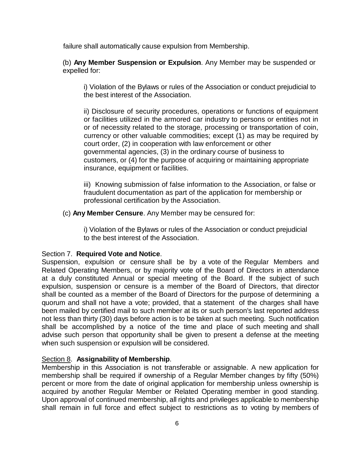failure shall automatically cause expulsion from Membership.

(b) **Any Member Suspension or Expulsion**. Any Member may be suspended or expelled for:

i) Violation of the Bylaws or rules of the Association or conduct prejudicial to the best interest of the Association.

ii) Disclosure of security procedures, operations or functions of equipment or facilities utilized in the armored car industry to persons or entities not in or of necessity related to the storage, processing or transportation of coin, currency or other valuable commodities; except (1) as may be required by court order, (2) in cooperation with law enforcement or other governmental agencies, (3) in the ordinary course of business to customers, or (4) for the purpose of acquiring or maintaining appropriate insurance, equipment or facilities.

iii) Knowing submission of false information to the Association, or false or fraudulent documentation as part of the application for membership or professional certification by the Association.

(c) **Any Member Censure**. Any Member may be censured for:

i) Violation of the Bylaws or rules of the Association or conduct prejudicial to the best interest of the Association.

## Section 7. **Required Vote and Notice**.

Suspension, expulsion or censure shall be by a vote of the Regular Members and Related Operating Members, or by majority vote of the Board of Directors in attendance at a duly constituted Annual or special meeting of the Board. If the subject of such expulsion, suspension or censure is a member of the Board of Directors, that director shall be counted as a member of the Board of Directors for the purpose of determining a quorum and shall not have a vote; provided, that a statement of the charges shall have been mailed by certified mail to such member at its or such person's last reported address not less than thirty (30) days before action is to be taken at such meeting. Such notification shall be accomplished by a notice of the time and place of such meeting and shall advise such person that opportunity shall be given to present a defense at the meeting when such suspension or expulsion will be considered.

## Section 8. **Assignability of Membership**.

Membership in this Association is not transferable or assignable. A new application for membership shall be required if ownership of a Regular Member changes by fifty (50%) percent or more from the date of original application for membership unless ownership is acquired by another Regular Member or Related Operating member in good standing. Upon approval of continued membership, all rights and privileges applicable to membership shall remain in full force and effect subject to restrictions as to voting by members of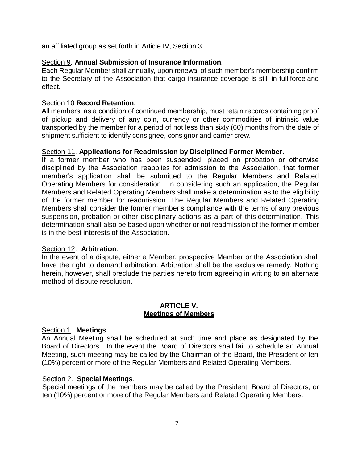an affiliated group as set forth in Article IV, Section 3.

## Section 9. **Annual Submission of Insurance Information**.

Each Regular Member shall annually, upon renewal of such member's membership confirm to the Secretary of the Association that cargo insurance coverage is still in full force and effect.

## Section 10 **Record Retention**.

All members, as a condition of continued membership, must retain records containing proof of pickup and delivery of any coin, currency or other commodities of intrinsic value transported by the member for a period of not less than sixty (60) months from the date of shipment sufficient to identify consignee, consignor and carrier crew.

## Section 11. **Applications for Readmission by Disciplined Former Member**.

If a former member who has been suspended, placed on probation or otherwise disciplined by the Association reapplies for admission to the Association, that former member's application shall be submitted to the Regular Members and Related Operating Members for consideration. In considering such an application, the Regular Members and Related Operating Members shall make a determination as to the eligibility of the former member for readmission. The Regular Members and Related Operating Members shall consider the former member's compliance with the terms of any previous suspension, probation or other disciplinary actions as a part of this determination. This determination shall also be based upon whether or not readmission of the former member is in the best interests of the Association.

## Section 12. **Arbitration**.

In the event of a dispute, either a Member, prospective Member or the Association shall have the right to demand arbitration. Arbitration shall be the exclusive remedy. Nothing herein, however, shall preclude the parties hereto from agreeing in writing to an alternate method of dispute resolution.

#### **ARTICLE V. Meetings of Members**

## Section 1. **Meetings**.

An Annual Meeting shall be scheduled at such time and place as designated by the Board of Directors. In the event the Board of Directors shall fail to schedule an Annual Meeting, such meeting may be called by the Chairman of the Board, the President or ten (10%) percent or more of the Regular Members and Related Operating Members.

# Section 2. **Special Meetings**.

Special meetings of the members may be called by the President, Board of Directors, or ten (10%) percent or more of the Regular Members and Related Operating Members.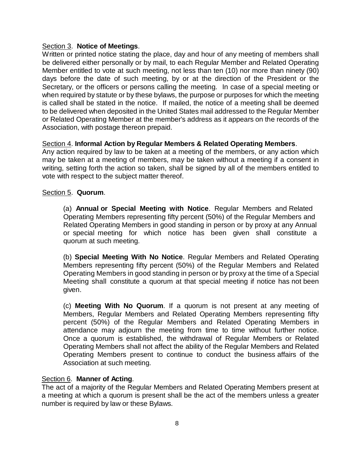## Section 3. **Notice of Meetings**.

Written or printed notice stating the place, day and hour of any meeting of members shall be delivered either personally or by mail, to each Regular Member and Related Operating Member entitled to vote at such meeting, not less than ten (10) nor more than ninety (90) days before the date of such meeting, by or at the direction of the President or the Secretary, or the officers or persons calling the meeting. In case of a special meeting or when required by statute or by these bylaws, the purpose or purposes for which the meeting is called shall be stated in the notice. If mailed, the notice of a meeting shall be deemed to be delivered when deposited in the United States mail addressed to the Regular Member or Related Operating Member at the member's address as it appears on the records of the Association, with postage thereon prepaid.

## Section 4. **Informal Action by Regular Members & Related Operating Members**.

Any action required by law to be taken at a meeting of the members, or any action which may be taken at a meeting of members, may be taken without a meeting if a consent in writing, setting forth the action so taken, shall be signed by all of the members entitled to vote with respect to the subject matter thereof.

#### Section 5. **Quorum**.

(a) **Annual or Special Meeting with Notice**. Regular Members and Related Operating Members representing fifty percent (50%) of the Regular Members and Related Operating Members in good standing in person or by proxy at any Annual or special meeting for which notice has been given shall constitute a quorum at such meeting.

(b) **Special Meeting With No Notice**. Regular Members and Related Operating Members representing fifty percent (50%) of the Regular Members and Related Operating Members in good standing in person or by proxy at the time of a Special Meeting shall constitute a quorum at that special meeting if notice has not been given.

(c) **Meeting With No Quorum**. If a quorum is not present at any meeting of Members, Regular Members and Related Operating Members representing fifty percent (50%) of the Regular Members and Related Operating Members in attendance may adjourn the meeting from time to time without further notice. Once a quorum is established, the withdrawal of Regular Members or Related Operating Members shall not affect the ability of the Regular Members and Related Operating Members present to continue to conduct the business affairs of the Association at such meeting.

## Section 6. **Manner of Acting**.

The act of a majority of the Regular Members and Related Operating Members present at a meeting at which a quorum is present shall be the act of the members unless a greater number is required by law or these Bylaws.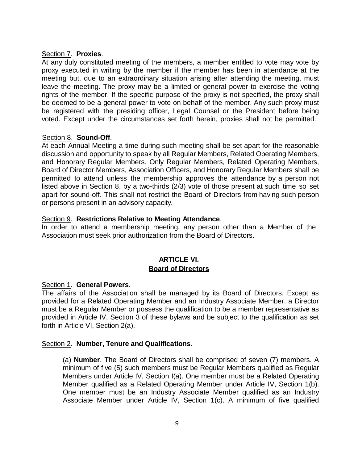#### Section 7. **Proxies**.

At any duly constituted meeting of the members, a member entitled to vote may vote by proxy executed in writing by the member if the member has been in attendance at the meeting but, due to an extraordinary situation arising after attending the meeting, must leave the meeting. The proxy may be a limited or general power to exercise the voting rights of the member. If the specific purpose of the proxy is not specified, the proxy shall be deemed to be a general power to vote on behalf of the member. Any such proxy must be registered with the presiding officer, Legal Counsel or the President before being voted. Except under the circumstances set forth herein, proxies shall not be permitted.

## Section 8. **Sound-Off**.

At each Annual Meeting a time during such meeting shall be set apart for the reasonable discussion and opportunity to speak by all Regular Members, Related Operating Members, and Honorary Regular Members. Only Regular Members, Related Operating Members, Board of Director Members, Association Officers, and Honorary Regular Members shall be permitted to attend unless the membership approves the attendance by a person not listed above in Section 8, by a two-thirds (2/3) vote of those present at such time so set apart for sound-off. This shall not restrict the Board of Directors from having such person or persons present in an advisory capacity.

## Section 9. **Restrictions Relative to Meeting Attendance**.

In order to attend a membership meeting, any person other than a Member of the Association must seek prior authorization from the Board of Directors.

# **ARTICLE VI. Board of Directors**

# Section 1. **General Powers**.

The affairs of the Association shall be managed by its Board of Directors. Except as provided for a Related Operating Member and an Industry Associate Member, a Director must be a Regular Member or possess the qualification to be a member representative as provided in Article IV, Section 3 of these bylaws and be subject to the qualification as set forth in Article VI, Section 2(a).

## Section 2. **Number, Tenure and Qualifications**.

(a) **Number**. The Board of Directors shall be comprised of seven (7) members. A minimum of five (5) such members must be Regular Members qualified as Regular Members under Article IV, Section I(a). One member must be a Related Operating Member qualified as a Related Operating Member under Article IV, Section 1(b). One member must be an Industry Associate Member qualified as an Industry Associate Member under Article IV, Section 1(c). A minimum of five qualified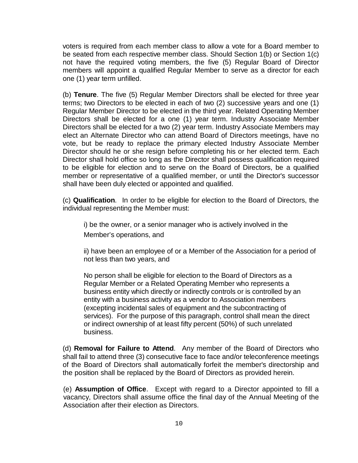voters is required from each member class to allow a vote for a Board member to be seated from each respective member class. Should Section 1(b) or Section 1(c) not have the required voting members, the five (5) Regular Board of Director members will appoint a qualified Regular Member to serve as a director for each one (1) year term unfilled.

(b) **Tenure**. The five (5) Regular Member Directors shall be elected for three year terms; two Directors to be elected in each of two (2) successive years and one (1) Regular Member Director to be elected in the third year. Related Operating Member Directors shall be elected for a one (1) year term. Industry Associate Member Directors shall be elected for a two (2) year term. Industry Associate Members may elect an Alternate Director who can attend Board of Directors meetings, have no vote, but be ready to replace the primary elected Industry Associate Member Director should he or she resign before completing his or her elected term. Each Director shall hold office so long as the Director shall possess qualification required to be eligible for election and to serve on the Board of Directors, be a qualified member or representative of a qualified member, or until the Director's successor shall have been duly elected or appointed and qualified.

(c) **Qualification**. In order to be eligible for election to the Board of Directors, the individual representing the Member must:

i) be the owner, or a senior manager who is actively involved in the Member's operations, and

ii) have been an employee of or a Member of the Association for a period of not less than two years, and

No person shall be eligible for election to the Board of Directors as a Regular Member or a Related Operating Member who represents a business entity which directly or indirectly controls or is controlled by an entity with a business activity as a vendor to Association members (excepting incidental sales of equipment and the subcontracting of services). For the purpose of this paragraph, control shall mean the direct or indirect ownership of at least fifty percent (50%) of such unrelated business.

(d) **Removal for Failure to Attend**. Any member of the Board of Directors who shall fail to attend three (3) consecutive face to face and/or teleconference meetings of the Board of Directors shall automatically forfeit the member's directorship and the position shall be replaced by the Board of Directors as provided herein.

(e) **Assumption of Office**. Except with regard to a Director appointed to fill a vacancy, Directors shall assume office the final day of the Annual Meeting of the Association after their election as Directors.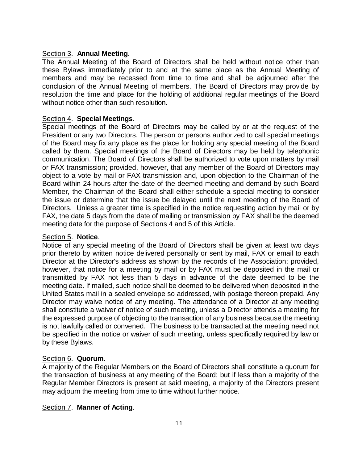#### Section 3. **Annual Meeting**.

The Annual Meeting of the Board of Directors shall be held without notice other than these Bylaws immediately prior to and at the same place as the Annual Meeting of members and may be recessed from time to time and shall be adjourned after the conclusion of the Annual Meeting of members. The Board of Directors may provide by resolution the time and place for the holding of additional regular meetings of the Board without notice other than such resolution.

#### Section 4. **Special Meetings**.

Special meetings of the Board of Directors may be called by or at the request of the President or any two Directors. The person or persons authorized to call special meetings of the Board may fix any place as the place for holding any special meeting of the Board called by them. Special meetings of the Board of Directors may be held by telephonic communication. The Board of Directors shall be authorized to vote upon matters by mail or FAX transmission; provided, however, that any member of the Board of Directors may object to a vote by mail or FAX transmission and, upon objection to the Chairman of the Board within 24 hours after the date of the deemed meeting and demand by such Board Member, the Chairman of the Board shall either schedule a special meeting to consider the issue or determine that the issue be delayed until the next meeting of the Board of Directors. Unless a greater time is specified in the notice requesting action by mail or by FAX, the date 5 days from the date of mailing or transmission by FAX shall be the deemed meeting date for the purpose of Sections 4 and 5 of this Article.

#### Section 5. **Notice**.

Notice of any special meeting of the Board of Directors shall be given at least two days prior thereto by written notice delivered personally or sent by mail, FAX or email to each Director at the Director's address as shown by the records of the Association; provided, however, that notice for a meeting by mail or by FAX must be deposited in the mail or transmitted by FAX not less than 5 days in advance of the date deemed to be the meeting date. If mailed, such notice shall be deemed to be delivered when deposited in the United States mail in a sealed envelope so addressed, with postage thereon prepaid. Any Director may waive notice of any meeting. The attendance of a Director at any meeting shall constitute a waiver of notice of such meeting, unless a Director attends a meeting for the expressed purpose of objecting to the transaction of any business because the meeting is not lawfully called or convened. The business to be transacted at the meeting need not be specified in the notice or waiver of such meeting, unless specifically required by law or by these Bylaws.

## Section 6. **Quorum**.

A majority of the Regular Members on the Board of Directors shall constitute a quorum for the transaction of business at any meeting of the Board; but if less than a majority of the Regular Member Directors is present at said meeting, a majority of the Directors present may adjourn the meeting from time to time without further notice.

## Section 7. **Manner of Acting**.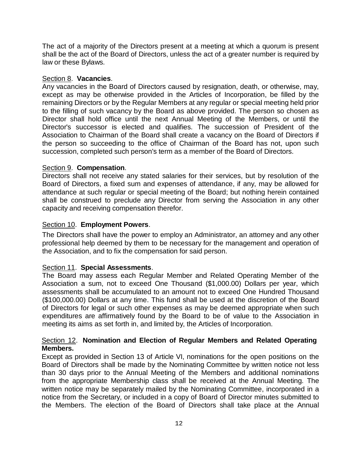The act of a majority of the Directors present at a meeting at which a quorum is present shall be the act of the Board of Directors, unless the act of a greater number is required by law or these Bylaws.

#### Section 8. **Vacancies**.

Any vacancies in the Board of Directors caused by resignation, death, or otherwise, may, except as may be otherwise provided in the Articles of Incorporation, be filled by the remaining Directors or by the Regular Members at any regular or special meeting held prior to the filling of such vacancy by the Board as above provided. The person so chosen as Director shall hold office until the next Annual Meeting of the Members, or until the Director's successor is elected and qualifies. The succession of President of the Association to Chairman of the Board shall create a vacancy on the Board of Directors if the person so succeeding to the office of Chairman of the Board has not, upon such succession, completed such person's term as a member of the Board of Directors.

#### Section 9. **Compensation**.

Directors shall not receive any stated salaries for their services, but by resolution of the Board of Directors, a fixed sum and expenses of attendance, if any, may be allowed for attendance at such regular or special meeting of the Board; but nothing herein contained shall be construed to preclude any Director from serving the Association in any other capacity and receiving compensation therefor.

#### Section 10. **Employment Powers**.

The Directors shall have the power to employ an Administrator, an attorney and any other professional help deemed by them to be necessary for the management and operation of the Association, and to fix the compensation for said person.

## Section 11. **Special Assessments**.

The Board may assess each Regular Member and Related Operating Member of the Association a sum, not to exceed One Thousand (\$1,000.00) Dollars per year, which assessments shall be accumulated to an amount not to exceed One Hundred Thousand (\$100,000.00) Dollars at any time. This fund shall be used at the discretion of the Board of Directors for legal or such other expenses as may be deemed appropriate when such expenditures are affirmatively found by the Board to be of value to the Association in meeting its aims as set forth in, and limited by, the Articles of Incorporation.

#### Section 12. **Nomination and Election of Regular Members and Related Operating Members.**

Except as provided in Section 13 of Article VI, nominations for the open positions on the Board of Directors shall be made by the Nominating Committee by written notice not less than 30 days prior to the Annual Meeting of the Members and additional nominations from the appropriate Membership class shall be received at the Annual Meeting. The written notice may be separately mailed by the Nominating Committee, incorporated in a notice from the Secretary, or included in a copy of Board of Director minutes submitted to the Members. The election of the Board of Directors shall take place at the Annual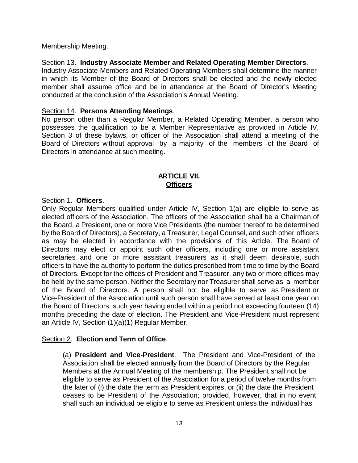Membership Meeting.

Section 13. **Industry Associate Member and Related Operating Member Directors**.

Industry Associate Members and Related Operating Members shall determine the manner in which its Member of the Board of Directors shall be elected and the newly elected member shall assume office and be in attendance at the Board of Director's Meeting conducted at the conclusion of the Association's Annual Meeting.

#### Section 14. **Persons Attending Meetings**.

No person other than a Regular Member, a Related Operating Member, a person who possesses the qualification to be a Member Representative as provided in Article IV, Section 3 of these bylaws, or officer of the Association shall attend a meeting of the Board of Directors without approval by a majority of the members of the Board of Directors in attendance at such meeting.

## **ARTICLE VII. Officers**

#### Section 1. **Officers**.

Only Regular Members qualified under Article IV, Section 1(a) are eligible to serve as elected officers of the Association. The officers of the Association shall be a Chairman of the Board, a President, one or more Vice Presidents (the number thereof to be determined by the Board of Directors), a Secretary, a Treasurer, Legal Counsel, and such other officers as may be elected in accordance with the provisions of this Article. The Board of Directors may elect or appoint such other officers, including one or more assistant secretaries and one or more assistant treasurers as it shall deem desirable, such officers to have the authority to perform the duties prescribed from time to time by the Board of Directors. Except for the offices of President and Treasurer, any two or more offices may be held by the same person. Neither the Secretary nor Treasurer shall serve as a member of the Board of Directors. A person shall not be eligible to serve as President or Vice-President of the Association until such person shall have served at least one year on the Board of Directors, such year having ended within a period not exceeding fourteen (14) months preceding the date of election. The President and Vice-President must represent an Article IV, Section (1)(a)(1) Regular Member.

#### Section 2. **Election and Term of Office**.

(a) **President and Vice-President**. The President and Vice-President of the Association shall be elected annually from the Board of Directors by the Regular Members at the Annual Meeting of the membership. The President shall not be eligible to serve as President of the Association for a period of twelve months from the later of (i) the date the term as President expires, or (ii) the date the President ceases to be President of the Association; provided, however, that in no event shall such an individual be eligible to serve as President unless the individual has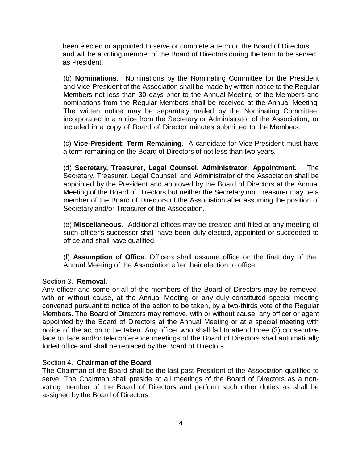been elected or appointed to serve or complete a term on the Board of Directors and will be a voting member of the Board of Directors during the term to be served as President.

(b) **Nominations**. Nominations by the Nominating Committee for the President and Vice-President of the Association shall be made by written notice to the Regular Members not less than 30 days prior to the Annual Meeting of the Members and nominations from the Regular Members shall be received at the Annual Meeting. The written notice may be separately mailed by the Nominating Committee, incorporated in a notice from the Secretary or Administrator of the Association, or included in a copy of Board of Director minutes submitted to the Members.

(c) **Vice-President: Term Remaining**. A candidate for Vice-President must have a term remaining on the Board of Directors of not less than two years.

(d) **Secretary, Treasurer, Legal Counsel, Administrator: Appointment**. The Secretary, Treasurer, Legal Counsel, and Administrator of the Association shall be appointed by the President and approved by the Board of Directors at the Annual Meeting of the Board of Directors but neither the Secretary nor Treasurer may be a member of the Board of Directors of the Association after assuming the position of Secretary and/or Treasurer of the Association.

(e) **Miscellaneous**. Additional offices may be created and filled at any meeting of such officer's successor shall have been duly elected, appointed or succeeded to office and shall have qualified.

(f) **Assumption of Office**. Officers shall assume office on the final day of the Annual Meeting of the Association after their election to office.

#### Section 3. **Removal**.

Any officer and some or all of the members of the Board of Directors may be removed, with or without cause, at the Annual Meeting or any duly constituted special meeting convened pursuant to notice of the action to be taken, by a two-thirds vote of the Regular Members. The Board of Directors may remove, with or without cause, any officer or agent appointed by the Board of Directors at the Annual Meeting or at a special meeting with notice of the action to be taken. Any officer who shall fail to attend three (3) consecutive face to face and/or teleconference meetings of the Board of Directors shall automatically forfeit office and shall be replaced by the Board of Directors.

## Section 4. **Chairman of the Board**.

The Chairman of the Board shall be the last past President of the Association qualified to serve. The Chairman shall preside at all meetings of the Board of Directors as a nonvoting member of the Board of Directors and perform such other duties as shall be assigned by the Board of Directors.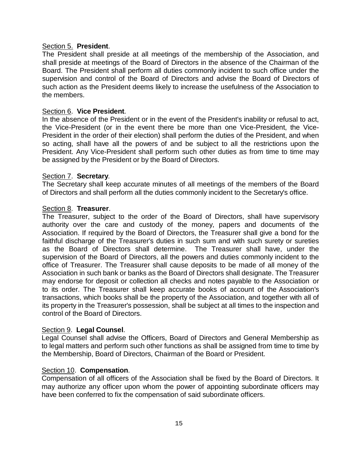# Section 5. **President**.

The President shall preside at all meetings of the membership of the Association, and shall preside at meetings of the Board of Directors in the absence of the Chairman of the Board. The President shall perform all duties commonly incident to such office under the supervision and control of the Board of Directors and advise the Board of Directors of such action as the President deems likely to increase the usefulness of the Association to the members.

#### Section 6. **Vice President**.

In the absence of the President or in the event of the President's inability or refusal to act, the Vice-President (or in the event there be more than one Vice-President, the Vice-President in the order of their election) shall perform the duties of the President, and when so acting, shall have all the powers of and be subject to all the restrictions upon the President. Any Vice-President shall perform such other duties as from time to time may be assigned by the President or by the Board of Directors.

#### Section 7. **Secretary**.

The Secretary shall keep accurate minutes of all meetings of the members of the Board of Directors and shall perform all the duties commonly incident to the Secretary's office.

#### Section 8. **Treasurer**.

The Treasurer, subject to the order of the Board of Directors, shall have supervisory authority over the care and custody of the money, papers and documents of the Association. If required by the Board of Directors, the Treasurer shall give a bond for the faithful discharge of the Treasurer's duties in such sum and with such surety or sureties as the Board of Directors shall determine. The Treasurer shall have, under the supervision of the Board of Directors, all the powers and duties commonly incident to the office of Treasurer. The Treasurer shall cause deposits to be made of all money of the Association in such bank or banks as the Board of Directors shall designate. The Treasurer may endorse for deposit or collection all checks and notes payable to the Association or to its order. The Treasurer shall keep accurate books of account of the Association's transactions, which books shall be the property of the Association, and together with all of its property in the Treasurer's possession, shall be subject at all times to the inspection and control of the Board of Directors.

#### Section 9. **Legal Counsel**.

Legal Counsel shall advise the Officers, Board of Directors and General Membership as to legal matters and perform such other functions as shall be assigned from time to time by the Membership, Board of Directors, Chairman of the Board or President.

#### Section 10. **Compensation**.

Compensation of all officers of the Association shall be fixed by the Board of Directors. It may authorize any officer upon whom the power of appointing subordinate officers may have been conferred to fix the compensation of said subordinate officers.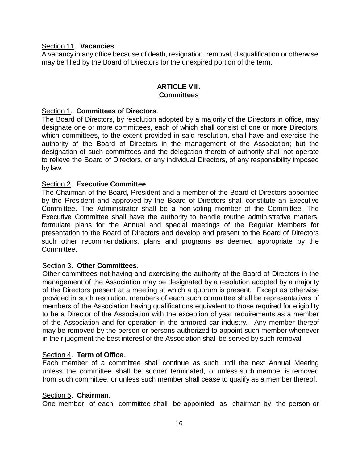#### Section 11. **Vacancies**.

A vacancy in any office because of death, resignation, removal, disqualification or otherwise may be filled by the Board of Directors for the unexpired portion of the term.

## **ARTICLE VIII. Committees**

#### Section 1. **Committees of Directors**.

The Board of Directors, by resolution adopted by a majority of the Directors in office, may designate one or more committees, each of which shall consist of one or more Directors, which committees, to the extent provided in said resolution, shall have and exercise the authority of the Board of Directors in the management of the Association; but the designation of such committees and the delegation thereto of authority shall not operate to relieve the Board of Directors, or any individual Directors, of any responsibility imposed by law.

## Section 2. **Executive Committee**.

The Chairman of the Board, President and a member of the Board of Directors appointed by the President and approved by the Board of Directors shall constitute an Executive Committee. The Administrator shall be a non-voting member of the Committee. The Executive Committee shall have the authority to handle routine administrative matters, formulate plans for the Annual and special meetings of the Regular Members for presentation to the Board of Directors and develop and present to the Board of Directors such other recommendations, plans and programs as deemed appropriate by the Committee.

#### Section 3. **Other Committees**.

Other committees not having and exercising the authority of the Board of Directors in the management of the Association may be designated by a resolution adopted by a majority of the Directors present at a meeting at which a quorum is present. Except as otherwise provided in such resolution, members of each such committee shall be representatives of members of the Association having qualifications equivalent to those required for eligibility to be a Director of the Association with the exception of year requirements as a member of the Association and for operation in the armored car industry. Any member thereof may be removed by the person or persons authorized to appoint such member whenever in their judgment the best interest of the Association shall be served by such removal.

#### Section 4. **Term of Office**.

Each member of a committee shall continue as such until the next Annual Meeting unless the committee shall be sooner terminated, or unless such member is removed from such committee, or unless such member shall cease to qualify as a member thereof.

#### Section 5. **Chairman**.

One member of each committee shall be appointed as chairman by the person or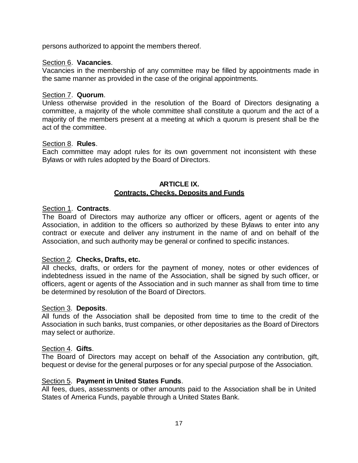persons authorized to appoint the members thereof.

#### Section 6. **Vacancies**.

Vacancies in the membership of any committee may be filled by appointments made in the same manner as provided in the case of the original appointments.

#### Section 7. **Quorum**.

Unless otherwise provided in the resolution of the Board of Directors designating a committee, a majority of the whole committee shall constitute a quorum and the act of a majority of the members present at a meeting at which a quorum is present shall be the act of the committee.

#### Section 8. **Rules**.

Each committee may adopt rules for its own government not inconsistent with these Bylaws or with rules adopted by the Board of Directors.

## **ARTICLE IX. Contracts, Checks, Deposits and Funds**

## Section 1. **Contracts**.

The Board of Directors may authorize any officer or officers, agent or agents of the Association, in addition to the officers so authorized by these Bylaws to enter into any contract or execute and deliver any instrument in the name of and on behalf of the Association, and such authority may be general or confined to specific instances.

#### Section 2. **Checks, Drafts, etc.**

All checks, drafts, or orders for the payment of money, notes or other evidences of indebtedness issued in the name of the Association, shall be signed by such officer, or officers, agent or agents of the Association and in such manner as shall from time to time be determined by resolution of the Board of Directors.

#### Section 3. **Deposits**.

All funds of the Association shall be deposited from time to time to the credit of the Association in such banks, trust companies, or other depositaries as the Board of Directors may select or authorize.

#### Section 4. **Gifts**.

The Board of Directors may accept on behalf of the Association any contribution, gift, bequest or devise for the general purposes or for any special purpose of the Association.

## Section 5. **Payment in United States Funds**.

All fees, dues, assessments or other amounts paid to the Association shall be in United States of America Funds, payable through a United States Bank.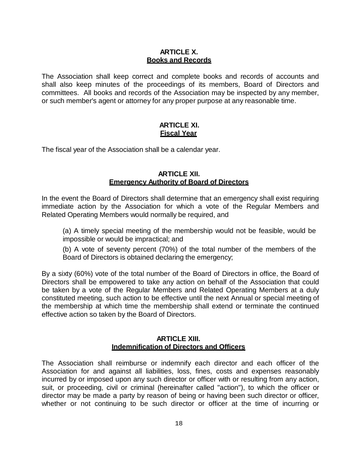## **ARTICLE X. Books and Records**

The Association shall keep correct and complete books and records of accounts and shall also keep minutes of the proceedings of its members, Board of Directors and committees. All books and records of the Association may be inspected by any member, or such member's agent or attorney for any proper purpose at any reasonable time.

## **ARTICLE XI. Fiscal Year**

The fiscal year of the Association shall be a calendar year.

#### **ARTICLE XII. Emergency Authority of Board of Directors**

In the event the Board of Directors shall determine that an emergency shall exist requiring immediate action by the Association for which a vote of the Regular Members and Related Operating Members would normally be required, and

(a) A timely special meeting of the membership would not be feasible, would be impossible or would be impractical; and

(b) A vote of seventy percent (70%) of the total number of the members of the Board of Directors is obtained declaring the emergency;

By a sixty (60%) vote of the total number of the Board of Directors in office, the Board of Directors shall be empowered to take any action on behalf of the Association that could be taken by a vote of the Regular Members and Related Operating Members at a duly constituted meeting, such action to be effective until the next Annual or special meeting of the membership at which time the membership shall extend or terminate the continued effective action so taken by the Board of Directors.

## **ARTICLE XIII. Indemnification of Directors and Officers**

The Association shall reimburse or indemnify each director and each officer of the Association for and against all liabilities, loss, fines, costs and expenses reasonably incurred by or imposed upon any such director or officer with or resulting from any action, suit, or proceeding, civil or criminal (hereinafter called "action"), to which the officer or director may be made a party by reason of being or having been such director or officer, whether or not continuing to be such director or officer at the time of incurring or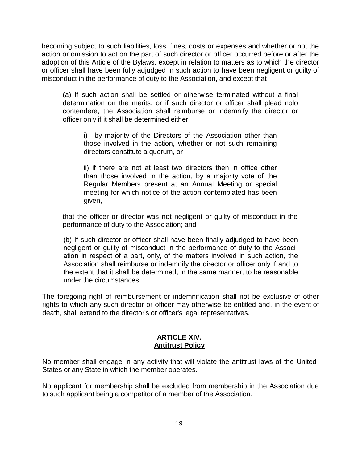becoming subject to such liabilities, loss, fines, costs or expenses and whether or not the action or omission to act on the part of such director or officer occurred before or after the adoption of this Article of the Bylaws, except in relation to matters as to which the director or officer shall have been fully adjudged in such action to have been negligent or guilty of misconduct in the performance of duty to the Association, and except that

(a) If such action shall be settled or otherwise terminated without a final determination on the merits, or if such director or officer shall plead nolo contendere, the Association shall reimburse or indemnify the director or officer only if it shall be determined either

i) by majority of the Directors of the Association other than those involved in the action, whether or not such remaining directors constitute a quorum, or

ii) if there are not at least two directors then in office other than those involved in the action, by a majority vote of the Regular Members present at an Annual Meeting or special meeting for which notice of the action contemplated has been given,

that the officer or director was not negligent or guilty of misconduct in the performance of duty to the Association; and

(b) If such director or officer shall have been finally adjudged to have been negligent or guilty of misconduct in the performance of duty to the Association in respect of a part, only, of the matters involved in such action, the Association shall reimburse or indemnify the director or officer only if and to the extent that it shall be determined, in the same manner, to be reasonable under the circumstances.

The foregoing right of reimbursement or indemnification shall not be exclusive of other rights to which any such director or officer may otherwise be entitled and, in the event of death, shall extend to the director's or officer's legal representatives.

#### **ARTICLE XIV. Antitrust Policy**

No member shall engage in any activity that will violate the antitrust laws of the United States or any State in which the member operates.

No applicant for membership shall be excluded from membership in the Association due to such applicant being a competitor of a member of the Association.